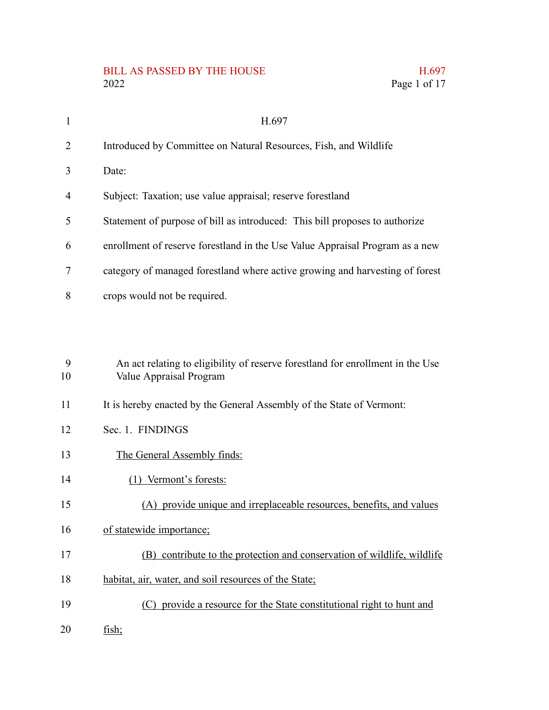# BILL AS PASSED BY THE HOUSE H.697<br>2022 Page 1 of 17

| $\mathbf{1}$ | H.697                                                                                                     |
|--------------|-----------------------------------------------------------------------------------------------------------|
| 2            | Introduced by Committee on Natural Resources, Fish, and Wildlife                                          |
| 3            | Date:                                                                                                     |
| 4            | Subject: Taxation; use value appraisal; reserve forestland                                                |
| 5            | Statement of purpose of bill as introduced: This bill proposes to authorize                               |
| 6            | enrollment of reserve forestland in the Use Value Appraisal Program as a new                              |
| 7            | category of managed forestland where active growing and harvesting of forest                              |
| 8            | crops would not be required.                                                                              |
|              |                                                                                                           |
| 9<br>10      | An act relating to eligibility of reserve forestland for enrollment in the Use<br>Value Appraisal Program |
| 11           | It is hereby enacted by the General Assembly of the State of Vermont:                                     |
| 12           | Sec. 1. FINDINGS                                                                                          |
| 13           | The General Assembly finds:                                                                               |
| 14           | (1) Vermont's forests:                                                                                    |
| 15           | (A) provide unique and irreplaceable resources, benefits, and values                                      |
| 16           | of statewide importance;                                                                                  |
| 17           | (B) contribute to the protection and conservation of wildlife, wildlife                                   |
| 18           | habitat, air, water, and soil resources of the State;                                                     |
| 19           | (C) provide a resource for the State constitutional right to hunt and                                     |

fish; 20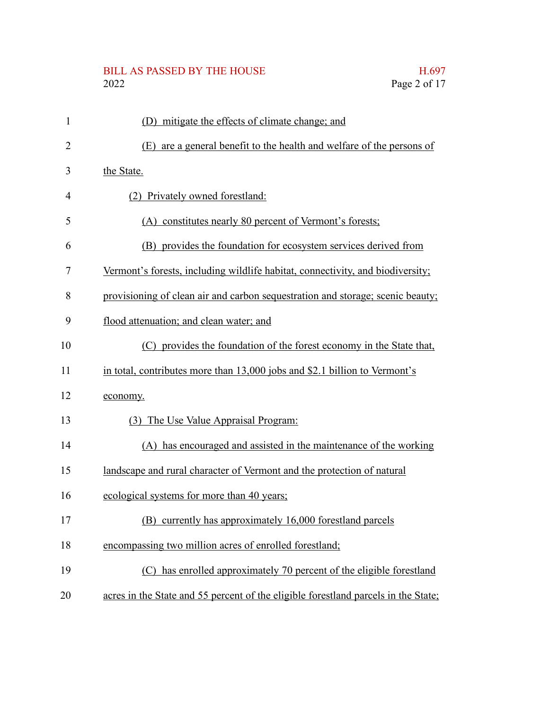# BILL AS PASSED BY THE HOUSE H.697<br>2022 Page 2 of 17

| $\mathbf{1}$   | (D) mitigate the effects of climate change; and                                    |
|----------------|------------------------------------------------------------------------------------|
| $\overline{2}$ | (E) are a general benefit to the health and welfare of the persons of              |
| 3              | the State.                                                                         |
| $\overline{4}$ | (2) Privately owned forestland:                                                    |
| 5              | (A) constitutes nearly 80 percent of Vermont's forests;                            |
| 6              | (B) provides the foundation for ecosystem services derived from                    |
| 7              | Vermont's forests, including wildlife habitat, connectivity, and biodiversity;     |
| 8              | provisioning of clean air and carbon sequestration and storage; scenic beauty;     |
| 9              | flood attenuation; and clean water; and                                            |
| 10             | (C) provides the foundation of the forest economy in the State that,               |
| 11             | in total, contributes more than 13,000 jobs and \$2.1 billion to Vermont's         |
| 12             | economy.                                                                           |
| 13             | (3) The Use Value Appraisal Program:                                               |
| 14             | (A) has encouraged and assisted in the maintenance of the working                  |
| 15             | landscape and rural character of Vermont and the protection of natural             |
| 16             | ecological systems for more than 40 years;                                         |
| 17             | (B) currently has approximately 16,000 forestland parcels                          |
| 18             | encompassing two million acres of enrolled forestland;                             |
| 19             | (C) has enrolled approximately 70 percent of the eligible forestland               |
| 20             | acres in the State and 55 percent of the eligible forestland parcels in the State; |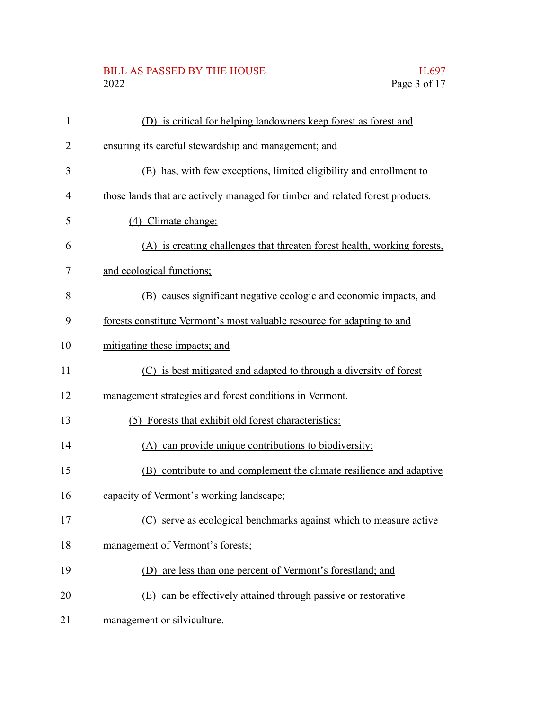# BILL AS PASSED BY THE HOUSE H.697<br>2022 Page 3 of 17

| $\mathbf{1}$   | (D) is critical for helping landowners keep forest as forest and              |
|----------------|-------------------------------------------------------------------------------|
| 2              | ensuring its careful stewardship and management; and                          |
| 3              | (E) has, with few exceptions, limited eligibility and enrollment to           |
| $\overline{4}$ | those lands that are actively managed for timber and related forest products. |
| 5              | (4) Climate change:                                                           |
| 6              | (A) is creating challenges that threaten forest health, working forests,      |
| 7              | and ecological functions;                                                     |
| 8              | (B) causes significant negative ecologic and economic impacts, and            |
| 9              | forests constitute Vermont's most valuable resource for adapting to and       |
| 10             | mitigating these impacts; and                                                 |
| 11             | (C) is best mitigated and adapted to through a diversity of forest            |
| 12             | management strategies and forest conditions in Vermont.                       |
| 13             | (5) Forests that exhibit old forest characteristics:                          |
| 14             | (A) can provide unique contributions to biodiversity;                         |
| 15             | (B) contribute to and complement the climate resilience and adaptive          |
| 16             | capacity of Vermont's working landscape;                                      |
| 17             | (C) serve as ecological benchmarks against which to measure active            |
| 18             | management of Vermont's forests;                                              |
| 19             | are less than one percent of Vermont's forestland; and<br>(D)                 |
| 20             | (E) can be effectively attained through passive or restorative                |
| 21             | management or silviculture.                                                   |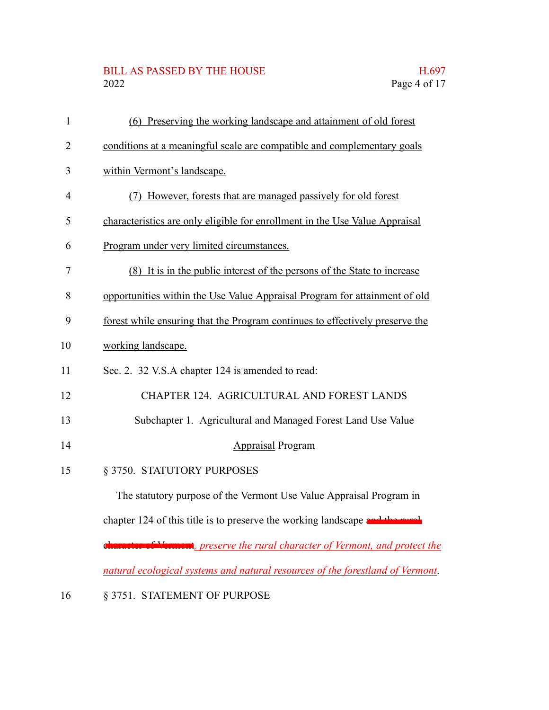# BILL AS PASSED BY THE HOUSE H.697<br>2022 Page 4 of 17

| $\mathbf{1}$   | (6) Preserving the working landscape and attainment of old forest              |
|----------------|--------------------------------------------------------------------------------|
| $\overline{2}$ | conditions at a meaningful scale are compatible and complementary goals        |
| 3              | within Vermont's landscape.                                                    |
| $\overline{4}$ | (7) However, forests that are managed passively for old forest                 |
| 5              | characteristics are only eligible for enrollment in the Use Value Appraisal    |
| 6              | Program under very limited circumstances.                                      |
| 7              | (8) It is in the public interest of the persons of the State to increase       |
| 8              | opportunities within the Use Value Appraisal Program for attainment of old     |
| 9              | forest while ensuring that the Program continues to effectively preserve the   |
| 10             | working landscape.                                                             |
| 11             | Sec. 2. 32 V.S.A chapter 124 is amended to read:                               |
| 12             | CHAPTER 124. AGRICULTURAL AND FOREST LANDS                                     |
| 13             | Subchapter 1. Agricultural and Managed Forest Land Use Value                   |
| 14             | <b>Appraisal Program</b>                                                       |
| 15             | § 3750. STATUTORY PURPOSES                                                     |
|                | The statutory purpose of the Vermont Use Value Appraisal Program in            |
|                | chapter 124 of this title is to preserve the working landscape and the much    |
|                | character of Vermont, preserve the rural character of Vermont, and protect the |
|                | natural ecological systems and natural resources of the forestland of Vermont. |

16 § 3751. STATEMENT OF PURPOSE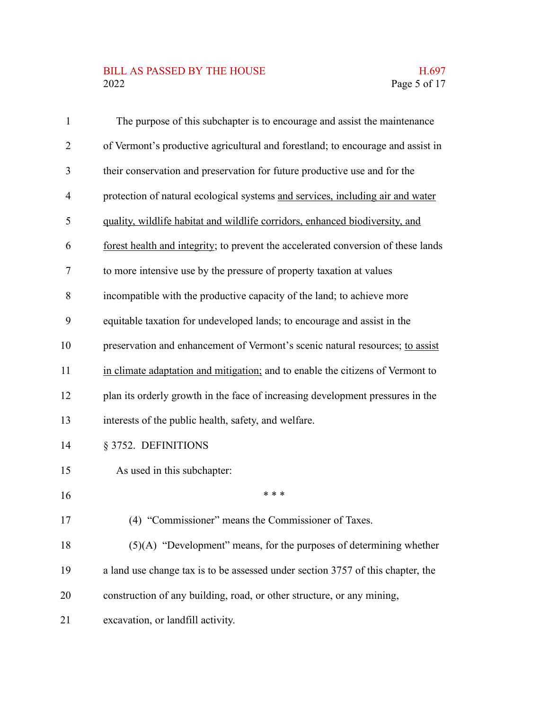# BILL AS PASSED BY THE HOUSE H.697<br>2022 Page 5 of 17

| $\mathbf{1}$ | The purpose of this subchapter is to encourage and assist the maintenance         |
|--------------|-----------------------------------------------------------------------------------|
| 2            | of Vermont's productive agricultural and forestland; to encourage and assist in   |
| 3            | their conservation and preservation for future productive use and for the         |
| 4            | protection of natural ecological systems and services, including air and water    |
| 5            | quality, wildlife habitat and wildlife corridors, enhanced biodiversity, and      |
| 6            | forest health and integrity; to prevent the accelerated conversion of these lands |
| 7            | to more intensive use by the pressure of property taxation at values              |
| 8            | incompatible with the productive capacity of the land; to achieve more            |
| 9            | equitable taxation for undeveloped lands; to encourage and assist in the          |
| 10           | preservation and enhancement of Vermont's scenic natural resources; to assist     |
| 11           | in climate adaptation and mitigation; and to enable the citizens of Vermont to    |
| 12           | plan its orderly growth in the face of increasing development pressures in the    |
| 13           | interests of the public health, safety, and welfare.                              |
| 14           | § 3752. DEFINITIONS                                                               |
| 15           | As used in this subchapter:                                                       |
| 16           | * * *                                                                             |
| 17           | (4) "Commissioner" means the Commissioner of Taxes.                               |
| 18           | $(5)(A)$ "Development" means, for the purposes of determining whether             |
| 19           | a land use change tax is to be assessed under section 3757 of this chapter, the   |
| 20           | construction of any building, road, or other structure, or any mining,            |
| 21           | excavation, or landfill activity.                                                 |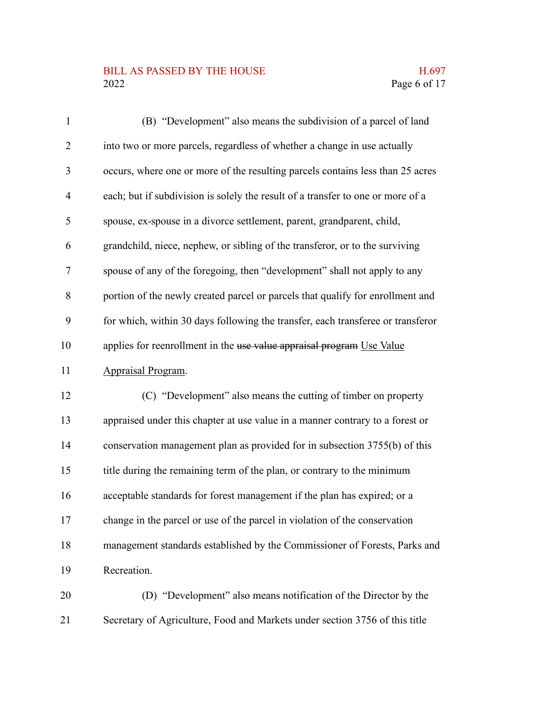# BILL AS PASSED BY THE HOUSE H.697<br>2022 Page 6 of 17

| $\mathbf{1}$   | (B) "Development" also means the subdivision of a parcel of land                |
|----------------|---------------------------------------------------------------------------------|
| $\overline{2}$ | into two or more parcels, regardless of whether a change in use actually        |
| 3              | occurs, where one or more of the resulting parcels contains less than 25 acres  |
| $\overline{4}$ | each; but if subdivision is solely the result of a transfer to one or more of a |
| 5              | spouse, ex-spouse in a divorce settlement, parent, grandparent, child,          |
| 6              | grandchild, niece, nephew, or sibling of the transferor, or to the surviving    |
| 7              | spouse of any of the foregoing, then "development" shall not apply to any       |
| 8              | portion of the newly created parcel or parcels that qualify for enrollment and  |
| 9              | for which, within 30 days following the transfer, each transferee or transferor |
| 10             | applies for reenrollment in the use value appraisal program Use Value           |
| 11             | Appraisal Program.                                                              |
| 12             | (C) "Development" also means the cutting of timber on property                  |
| 13             | appraised under this chapter at use value in a manner contrary to a forest or   |
| 14             | conservation management plan as provided for in subsection 3755(b) of this      |
| 15             | title during the remaining term of the plan, or contrary to the minimum         |
| 16             | acceptable standards for forest management if the plan has expired; or a        |
| 17             | change in the parcel or use of the parcel in violation of the conservation      |
| 18             | management standards established by the Commissioner of Forests, Parks and      |
| 19             | Recreation.                                                                     |
| 20             | (D) "Development" also means notification of the Director by the                |
|                |                                                                                 |

Secretary of Agriculture, Food and Markets under section 3756 of this title 21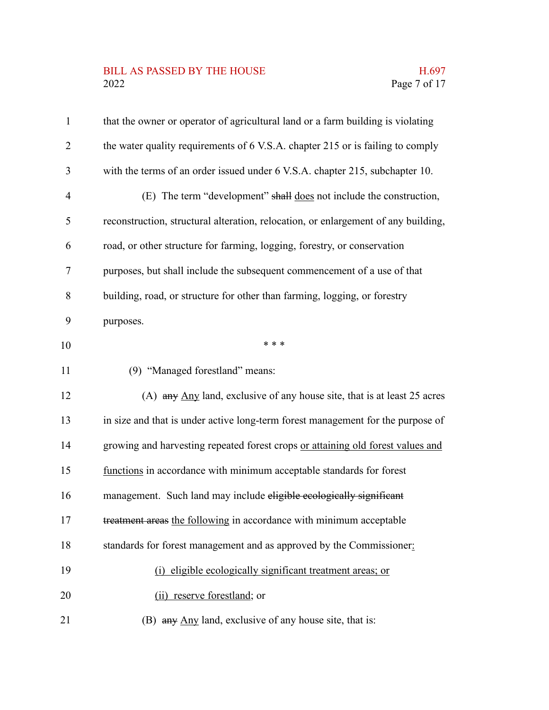# BILL AS PASSED BY THE HOUSE H.697<br>2022 Page 7 of 17

| $\mathbf{1}$   | that the owner or operator of agricultural land or a farm building is violating    |
|----------------|------------------------------------------------------------------------------------|
| $\overline{2}$ | the water quality requirements of 6 V.S.A. chapter 215 or is failing to comply     |
| 3              | with the terms of an order issued under 6 V.S.A. chapter 215, subchapter 10.       |
| 4              | (E) The term "development" shall does not include the construction,                |
| 5              | reconstruction, structural alteration, relocation, or enlargement of any building, |
| 6              | road, or other structure for farming, logging, forestry, or conservation           |
| 7              | purposes, but shall include the subsequent commencement of a use of that           |
| 8              | building, road, or structure for other than farming, logging, or forestry          |
| 9              | purposes.                                                                          |
| 10             | * * *                                                                              |
| 11             | (9) "Managed forestland" means:                                                    |
| 12             | (A) any Any land, exclusive of any house site, that is at least 25 acres           |
| 13             | in size and that is under active long-term forest management for the purpose of    |
| 14             | growing and harvesting repeated forest crops or attaining old forest values and    |
| 15             | functions in accordance with minimum acceptable standards for forest               |
| 16             | management. Such land may include eligible ecologically significant                |
| 17             | treatment areas the following in accordance with minimum acceptable                |
| 18             | standards for forest management and as approved by the Commissioner:               |
| 19             | (i) eligible ecologically significant treatment areas; or                          |
| 20             | (ii) reserve forestland; or                                                        |
| 21             | (B) any Any land, exclusive of any house site, that is:                            |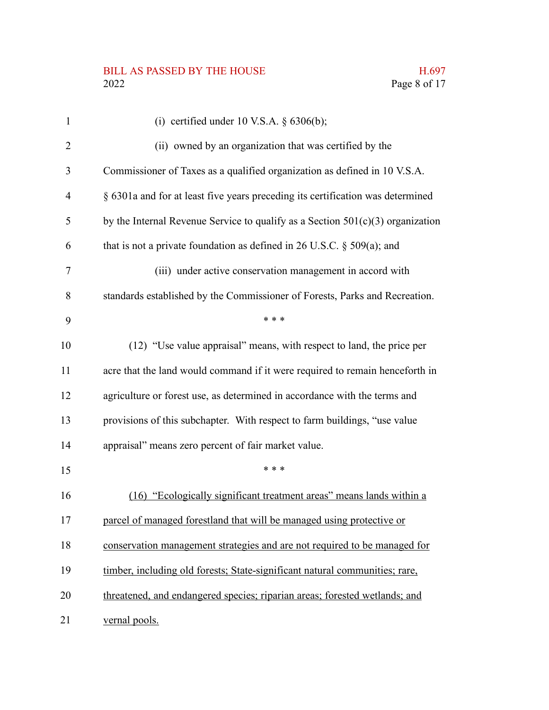# BILL AS PASSED BY THE HOUSE H.697<br>2022 Page 8 of 17

| $\mathbf{1}$ | (i) certified under 10 V.S.A. $\S$ 6306(b);                                      |
|--------------|----------------------------------------------------------------------------------|
| 2            | (ii) owned by an organization that was certified by the                          |
| 3            | Commissioner of Taxes as a qualified organization as defined in 10 V.S.A.        |
| 4            | § 6301a and for at least five years preceding its certification was determined   |
| 5            | by the Internal Revenue Service to qualify as a Section $501(c)(3)$ organization |
| 6            | that is not a private foundation as defined in 26 U.S.C. $\S$ 509(a); and        |
| 7            | (iii) under active conservation management in accord with                        |
| 8            | standards established by the Commissioner of Forests, Parks and Recreation.      |
| 9            | * * *                                                                            |
| 10           | (12) "Use value appraisal" means, with respect to land, the price per            |
| 11           | acre that the land would command if it were required to remain henceforth in     |
| 12           | agriculture or forest use, as determined in accordance with the terms and        |
| 13           | provisions of this subchapter. With respect to farm buildings, "use value        |
| 14           | appraisal" means zero percent of fair market value.                              |
| 15           | * * *                                                                            |
| 16           | (16) "Ecologically significant treatment areas" means lands within a             |
| 17           | parcel of managed forestland that will be managed using protective or            |
| 18           | conservation management strategies and are not required to be managed for        |
| 19           | timber, including old forests; State-significant natural communities; rare,      |
| 20           | threatened, and endangered species; riparian areas; forested wetlands; and       |
| 21           | vernal pools.                                                                    |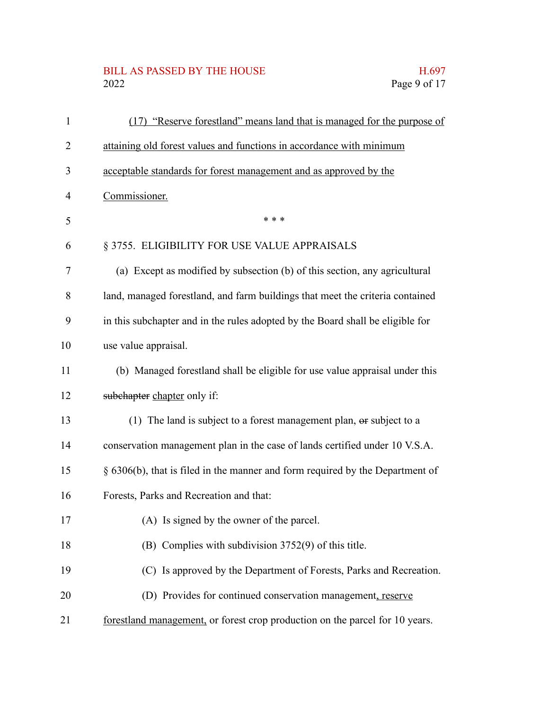# BILL AS PASSED BY THE HOUSE H.697<br>2022 Page 9 of 17

| $\mathbf{1}$ | (17) "Reserve forestland" means land that is managed for the purpose of        |
|--------------|--------------------------------------------------------------------------------|
| 2            | attaining old forest values and functions in accordance with minimum           |
| 3            | acceptable standards for forest management and as approved by the              |
| 4            | Commissioner.                                                                  |
| 5            | * * *                                                                          |
| 6            | § 3755. ELIGIBILITY FOR USE VALUE APPRAISALS                                   |
| 7            | (a) Except as modified by subsection (b) of this section, any agricultural     |
| 8            | land, managed forestland, and farm buildings that meet the criteria contained  |
| 9            | in this subchapter and in the rules adopted by the Board shall be eligible for |
| 10           | use value appraisal.                                                           |
| 11           | (b) Managed forestland shall be eligible for use value appraisal under this    |
| 12           | subchapter chapter only if:                                                    |
| 13           | (1) The land is subject to a forest management plan, or subject to a           |
| 14           | conservation management plan in the case of lands certified under 10 V.S.A.    |
| 15           | § 6306(b), that is filed in the manner and form required by the Department of  |
| 16           | Forests, Parks and Recreation and that:                                        |
| 17           | (A) Is signed by the owner of the parcel.                                      |
| 18           | (B) Complies with subdivision 3752(9) of this title.                           |
| 19           | (C) Is approved by the Department of Forests, Parks and Recreation.            |
| 20           | (D) Provides for continued conservation management, reserve                    |
| 21           | forestland management, or forest crop production on the parcel for 10 years.   |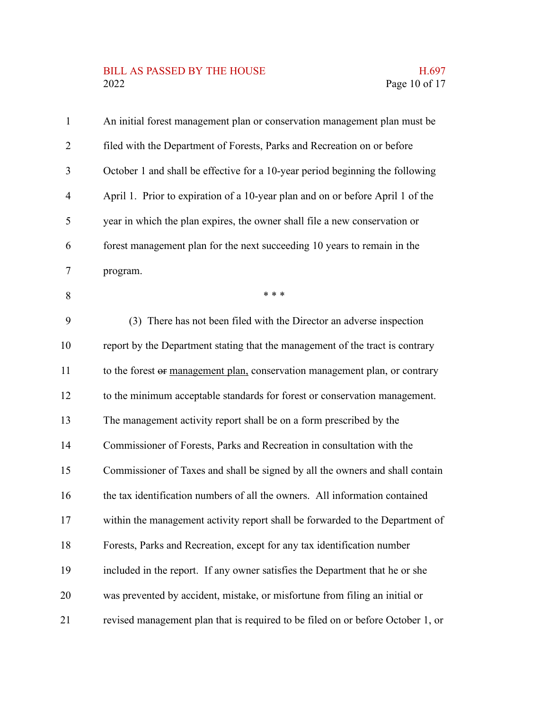# BILL AS PASSED BY THE HOUSE H.697<br>2022 Page 10 of 17

| $\mathbf{1}$   | An initial forest management plan or conservation management plan must be       |
|----------------|---------------------------------------------------------------------------------|
| 2              | filed with the Department of Forests, Parks and Recreation on or before         |
| 3              | October 1 and shall be effective for a 10-year period beginning the following   |
| $\overline{4}$ | April 1. Prior to expiration of a 10-year plan and on or before April 1 of the  |
| 5              | year in which the plan expires, the owner shall file a new conservation or      |
| 6              | forest management plan for the next succeeding 10 years to remain in the        |
| $\tau$         | program.                                                                        |
| 8              | * * *                                                                           |
| 9              | (3) There has not been filed with the Director an adverse inspection            |
| 10             | report by the Department stating that the management of the tract is contrary   |
| 11             | to the forest or management plan, conservation management plan, or contrary     |
| 12             | to the minimum acceptable standards for forest or conservation management.      |
| 13             | The management activity report shall be on a form prescribed by the             |
| 14             | Commissioner of Forests, Parks and Recreation in consultation with the          |
| 15             | Commissioner of Taxes and shall be signed by all the owners and shall contain   |
| 16             | the tax identification numbers of all the owners. All information contained     |
| 17             | within the management activity report shall be forwarded to the Department of   |
| 18             | Forests, Parks and Recreation, except for any tax identification number         |
| 19             | included in the report. If any owner satisfies the Department that he or she    |
| 20             | was prevented by accident, mistake, or misfortune from filing an initial or     |
| 21             | revised management plan that is required to be filed on or before October 1, or |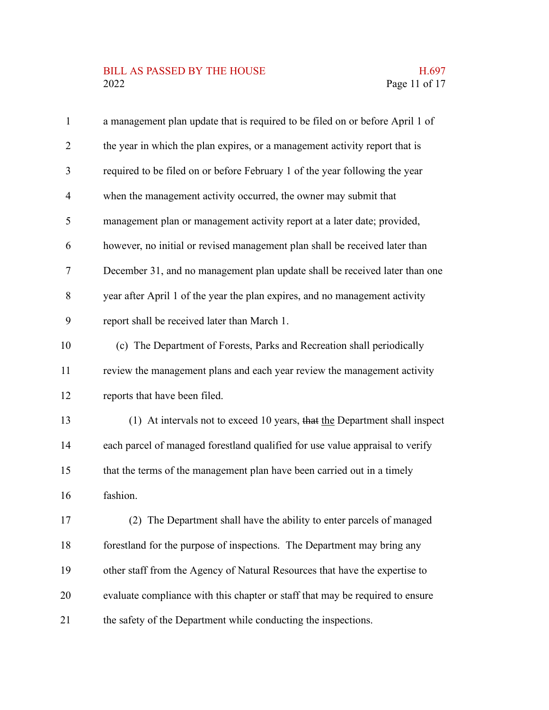# BILL AS PASSED BY THE HOUSE H.697<br>2022 Page 11 of 17

| $\mathbf{1}$   | a management plan update that is required to be filed on or before April 1 of |
|----------------|-------------------------------------------------------------------------------|
| $\overline{2}$ | the year in which the plan expires, or a management activity report that is   |
| 3              | required to be filed on or before February 1 of the year following the year   |
| $\overline{4}$ | when the management activity occurred, the owner may submit that              |
| 5              | management plan or management activity report at a later date; provided,      |
| 6              | however, no initial or revised management plan shall be received later than   |
| 7              | December 31, and no management plan update shall be received later than one   |
| 8              | year after April 1 of the year the plan expires, and no management activity   |
| 9              | report shall be received later than March 1.                                  |
| 10             | (c) The Department of Forests, Parks and Recreation shall periodically        |
| 11             | review the management plans and each year review the management activity      |
| 12             | reports that have been filed.                                                 |
| 13             | (1) At intervals not to exceed 10 years, that the Department shall inspect    |
| 14             | each parcel of managed forestland qualified for use value appraisal to verify |
| 15             | that the terms of the management plan have been carried out in a timely       |
| 16             | fashion.                                                                      |
| 17             | (2) The Department shall have the ability to enter parcels of managed         |
| 18             | forestland for the purpose of inspections. The Department may bring any       |
| 19             | other staff from the Agency of Natural Resources that have the expertise to   |
| 20             | evaluate compliance with this chapter or staff that may be required to ensure |
| 21             | the safety of the Department while conducting the inspections.                |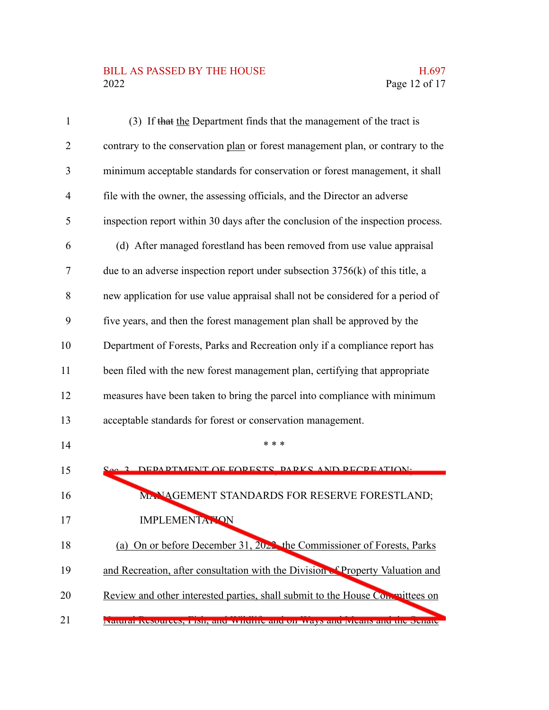# BILL AS PASSED BY THE HOUSE H.697<br>2022 Page 12 of 17

| 1  | (3) If that the Department finds that the management of the tract is             |
|----|----------------------------------------------------------------------------------|
| 2  | contrary to the conservation plan or forest management plan, or contrary to the  |
| 3  | minimum acceptable standards for conservation or forest management, it shall     |
| 4  | file with the owner, the assessing officials, and the Director an adverse        |
| 5  | inspection report within 30 days after the conclusion of the inspection process. |
| 6  | (d) After managed forestland has been removed from use value appraisal           |
| 7  | due to an adverse inspection report under subsection $3756(k)$ of this title, a  |
| 8  | new application for use value appraisal shall not be considered for a period of  |
| 9  | five years, and then the forest management plan shall be approved by the         |
| 10 | Department of Forests, Parks and Recreation only if a compliance report has      |
| 11 | been filed with the new forest management plan, certifying that appropriate      |
| 12 | measures have been taken to bring the parcel into compliance with minimum        |
| 13 | acceptable standards for forest or conservation management.                      |
| 14 | * * *                                                                            |
| 15 | 2 DEDAPTMENT OF FODECTS DADKS AND DECDEATION.                                    |
| 16 | MANAGEMENT STANDARDS FOR RESERVE FORESTLAND;                                     |
| 17 | <b>IMPLEMENTATION</b>                                                            |
| 18 | (a) On or before December 31, $2022$ , the Commissioner of Forests, Parks        |
| 19 | and Recreation, after consultation with the Division & Property Valuation and    |
| 20 | Review and other interested parties, shall submit to the House Committees on     |
| 21 | raturar resources, rish, and whenre and on ways and weans and the schate         |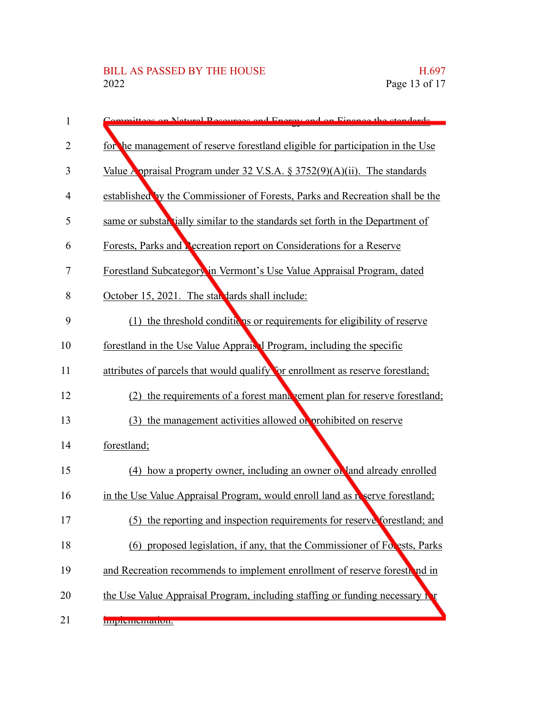| 1  | Committage on Natural Recourses and Energy and on Finance the standards        |
|----|--------------------------------------------------------------------------------|
| 2  | for the management of reserve forestland eligible for participation in the Use |
| 3  | Value Appraisal Program under 32 V.S.A. $\S 3752(9)(A)(ii)$ . The standards    |
| 4  | established by the Commissioner of Forests, Parks and Recreation shall be the  |
| 5  | same or substantially similar to the standards set forth in the Department of  |
| 6  | Forests, Parks and <b>Recreation report on Considerations for a Reserve</b>    |
| 7  | Forestland Subcategory in Vermont's Use Value Appraisal Program, dated         |
| 8  | October 15, 2021. The star dards shall include:                                |
| 9  | (1) the threshold conditions or requirements for eligibility of reserve        |
| 10 | forestland in the Use Value Apprais 1 Program, including the specific          |
| 11 | attributes of parcels that would qualify for enrollment as reserve forestland; |
| 12 | the requirements of a forest management plan for reserve forestland;<br>(2)    |
| 13 | (3) the management activities allowed or prohibited on reserve                 |
| 14 | forestland;                                                                    |
| 15 | (4) how a property owner, including an owner of land already enrolled          |
| 16 | in the Use Value Appraisal Program, would enroll land as reserve forestland;   |
| 17 | (5) the reporting and inspection requirements for reserve forestland; and      |
| 18 | (6) proposed legislation, if any, that the Commissioner of Forests, Parks      |
| 19 | and Recreation recommends to implement enrollment of reserve forestional in    |
| 20 | the Use Value Appraisal Program, including staffing or funding necessary in    |
| 21 | пприятиятаноп.                                                                 |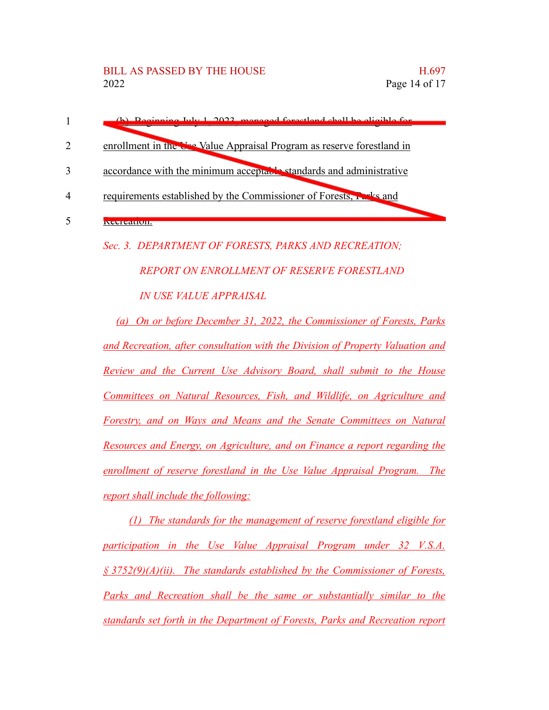| 1              | (b) Beginning July 1, 2022, managed forgetland shall be eligible for   |
|----------------|------------------------------------------------------------------------|
| 2              | enrollment in the Use Value Appraisal Program as reserve forestland in |
| 3              | accordance with the minimum acceptable standards and administrative    |
| $\overline{4}$ | requirements established by the Commissioner of Forests, relative and  |
| 5              | KUUU UU UU U                                                           |
|                | Sec. 3. DEPARTMENT OF FORESTS, PARKS AND RECREATION;                   |
|                | <b>REPORT ON ENROLLMENT OF RESERVE FORESTLAND</b>                      |
|                |                                                                        |
|                | <i><b>IN USE VALUE APPRAISAL</b></i>                                   |

*and Recreation, after consultation with the Division of Property Valuation and Review and the Current Use Advisory Board, shall submit to the House Committees on Natural Resources, Fish, and Wildlife, on Agriculture and Forestry, and on Ways and Means and the Senate Committees on Natural Resources and Energy, on Agriculture, and on Finance a report regarding the enrollment of reserve forestland in the Use Value Appraisal Program. The report shall include the following:*

*(1) The standards for the management of reserve forestland eligible for participation in the Use Value Appraisal Program under 32 V.S.A. § 3752(9)(A)(ii). The standards established by the Commissioner of Forests, Parks and Recreation shall be the same or substantially similar to the standards set forth in the Department of Forests, Parks and Recreation report*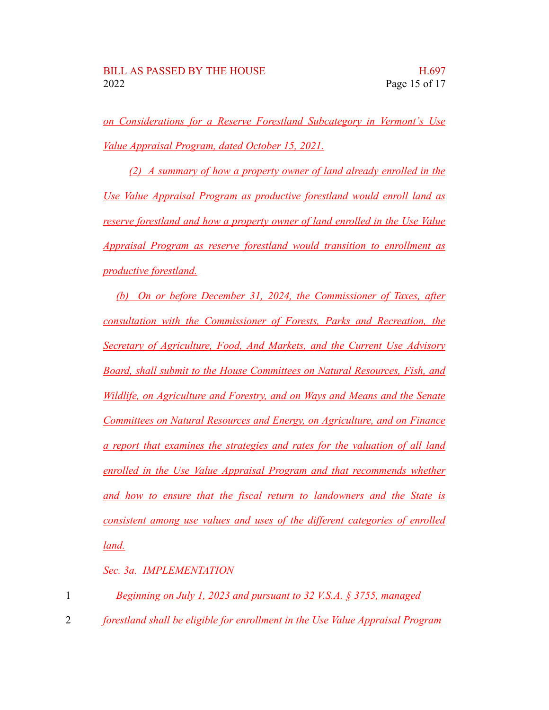*on Considerations for a Reserve Forestland Subcategory in Vermont's Use Value Appraisal Program, dated October 15, 2021.*

*(2) A summary of how a property owner of land already enrolled in the Use Value Appraisal Program as productive forestland would enroll land as reserve forestland and how a property owner of land enrolled in the Use Value Appraisal Program as reserve forestland would transition to enrollment as productive forestland.*

*(b) On or before December 31, 2024, the Commissioner of Taxes, after consultation with the Commissioner of Forests, Parks and Recreation, the Secretary of Agriculture, Food, And Markets, and the Current Use Advisory Board, shall submit to the House Committees on Natural Resources, Fish, and Wildlife, on Agriculture and Forestry, and on Ways and Means and the Senate Committees on Natural Resources and Energy, on Agriculture, and on Finance a report that examines the strategies and rates for the valuation of all land enrolled in the Use Value Appraisal Program and that recommends whether and how to ensure that the fiscal return to landowners and the State is consistent among use values and uses of the different categories of enrolled land.*

*Sec. 3a. IMPLEMENTATION*

|  | Beginning on July 1, 2023 and pursuant to 32 V.S.A. § 3755, managed |  |
|--|---------------------------------------------------------------------|--|
|  |                                                                     |  |

*forestland shall be eligible for enrollment in the Use Value Appraisal Program* 2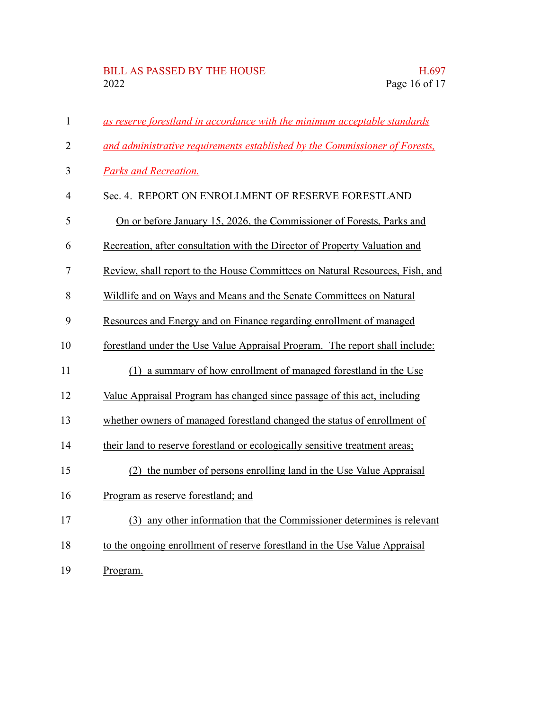# BILL AS PASSED BY THE HOUSE H.697<br>2022 Page 16 of 17

| $\mathbf{1}$   | as reserve forestland in accordance with the minimum acceptable standards    |
|----------------|------------------------------------------------------------------------------|
| $\overline{2}$ | and administrative requirements established by the Commissioner of Forests,  |
| 3              | Parks and Recreation.                                                        |
| $\overline{4}$ | Sec. 4. REPORT ON ENROLLMENT OF RESERVE FORESTLAND                           |
| 5              | On or before January 15, 2026, the Commissioner of Forests, Parks and        |
| 6              | Recreation, after consultation with the Director of Property Valuation and   |
| $\tau$         | Review, shall report to the House Committees on Natural Resources, Fish, and |
| 8              | Wildlife and on Ways and Means and the Senate Committees on Natural          |
| 9              | Resources and Energy and on Finance regarding enrollment of managed          |
| 10             | forestland under the Use Value Appraisal Program. The report shall include:  |
| 11             | (1) a summary of how enrollment of managed forestland in the Use             |
| 12             | Value Appraisal Program has changed since passage of this act, including     |
| 13             | whether owners of managed forestland changed the status of enrollment of     |
| 14             | their land to reserve forestland or ecologically sensitive treatment areas;  |
| 15             | (2) the number of persons enrolling land in the Use Value Appraisal          |
| 16             | Program as reserve forestland; and                                           |
| 17             | (3) any other information that the Commissioner determines is relevant       |
| 18             | to the ongoing enrollment of reserve forestland in the Use Value Appraisal   |
| 19             | Program.                                                                     |